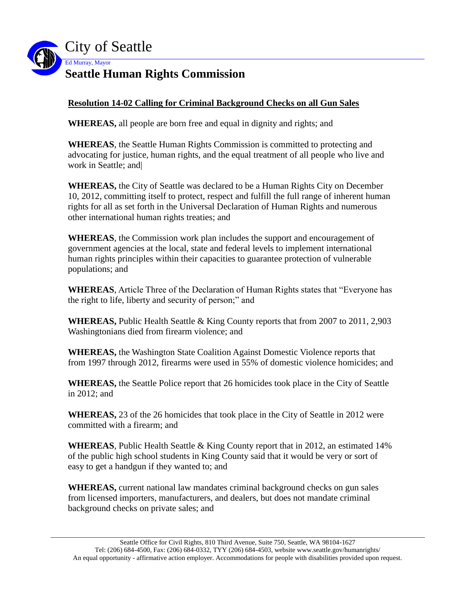

## **Resolution 14-02 Calling for Criminal Background Checks on all Gun Sales**

**WHEREAS,** all people are born free and equal in dignity and rights; and

**WHEREAS**, the Seattle Human Rights Commission is committed to protecting and advocating for justice, human rights, and the equal treatment of all people who live and work in Seattle; and|

**WHEREAS,** the City of Seattle was declared to be a Human Rights City on December 10, 2012, committing itself to protect, respect and fulfill the full range of inherent human rights for all as set forth in the Universal Declaration of Human Rights and numerous other international human rights treaties; and

**WHEREAS**, the Commission work plan includes the support and encouragement of government agencies at the local, state and federal levels to implement international human rights principles within their capacities to guarantee protection of vulnerable populations; and

**WHEREAS**, Article Three of the Declaration of Human Rights states that "Everyone has the right to life, liberty and security of person;" and

**WHEREAS,** Public Health Seattle & King County reports that from 2007 to 2011, 2,903 Washingtonians died from firearm violence; and

**WHEREAS,** the Washington State Coalition Against Domestic Violence reports that from 1997 through 2012, firearms were used in 55% of domestic violence homicides; and

**WHEREAS,** the Seattle Police report that 26 homicides took place in the City of Seattle in 2012; and

**WHEREAS,** 23 of the 26 homicides that took place in the City of Seattle in 2012 were committed with a firearm; and

**WHEREAS**, Public Health Seattle & King County report that in 2012, an estimated 14% of the public high school students in King County said that it would be very or sort of easy to get a handgun if they wanted to; and

**WHEREAS,** current national law mandates criminal background checks on gun sales from licensed importers, manufacturers, and dealers, but does not mandate criminal background checks on private sales; and